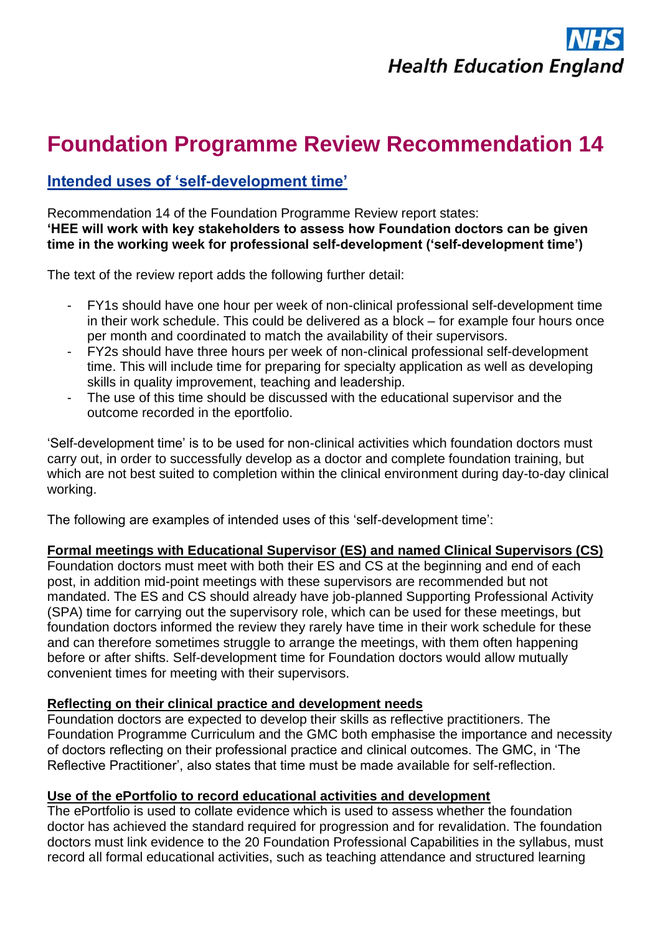

# **Foundation Programme Review Recommendation 14**

# **Intended uses of 'self-development time'**

Recommendation 14 of the Foundation Programme Review report states: **'HEE will work with key stakeholders to assess how Foundation doctors can be given time in the working week for professional self-development ('self-development time')**

The text of the review report adds the following further detail:

- FY1s should have one hour per week of non-clinical professional self-development time in their work schedule. This could be delivered as a block – for example four hours once per month and coordinated to match the availability of their supervisors.
- FY2s should have three hours per week of non-clinical professional self-development time. This will include time for preparing for specialty application as well as developing skills in quality improvement, teaching and leadership.
- The use of this time should be discussed with the educational supervisor and the outcome recorded in the eportfolio.

'Self-development time' is to be used for non-clinical activities which foundation doctors must carry out, in order to successfully develop as a doctor and complete foundation training, but which are not best suited to completion within the clinical environment during day-to-day clinical working.

The following are examples of intended uses of this 'self-development time':

## **Formal meetings with Educational Supervisor (ES) and named Clinical Supervisors (CS)**

Foundation doctors must meet with both their ES and CS at the beginning and end of each post, in addition mid-point meetings with these supervisors are recommended but not mandated. The ES and CS should already have job-planned Supporting Professional Activity (SPA) time for carrying out the supervisory role, which can be used for these meetings, but foundation doctors informed the review they rarely have time in their work schedule for these and can therefore sometimes struggle to arrange the meetings, with them often happening before or after shifts. Self-development time for Foundation doctors would allow mutually convenient times for meeting with their supervisors.

## **Reflecting on their clinical practice and development needs**

Foundation doctors are expected to develop their skills as reflective practitioners. The Foundation Programme Curriculum and the GMC both emphasise the importance and necessity of doctors reflecting on their professional practice and clinical outcomes. The GMC, in 'The Reflective Practitioner', also states that time must be made available for self-reflection.

#### **Use of the ePortfolio to record educational activities and development**

The ePortfolio is used to collate evidence which is used to assess whether the foundation doctor has achieved the standard required for progression and for revalidation. The foundation doctors must link evidence to the 20 Foundation Professional Capabilities in the syllabus, must record all formal educational activities, such as teaching attendance and structured learning